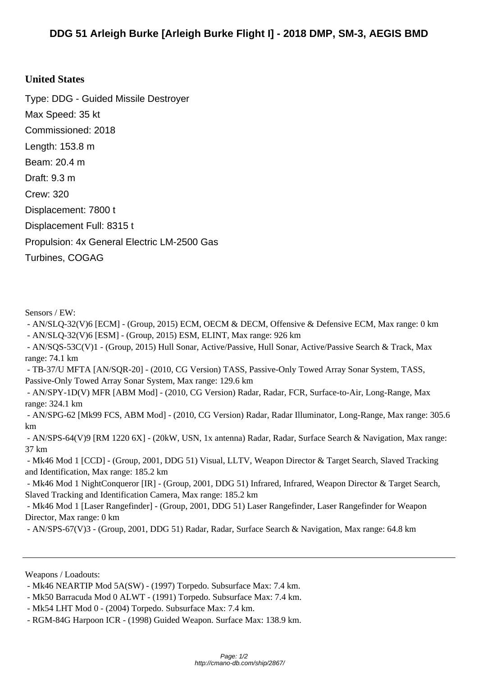## **Unite[d States](http://cmano-db.com/ship/2867/)**

Type: DDG - Guided Missile Destroyer Max Speed: 35 kt Commissioned: 2018 Length: 153.8 m Beam: 20.4 m Draft: 9.3 m Crew: 320 Displacement: 7800 t Displacement Full: 8315 t Propulsion: 4x General Electric LM-2500 Gas Turbines, COGAG

Sensors / EW:

 - AN/SLQ-32(V)6 [ECM] - (Group, 2015) ECM, OECM & DECM, Offensive & Defensive ECM, Max range: 0 km - AN/SLQ-32(V)6 [ESM] - (Group, 2015) ESM, ELINT, Max range: 926 km

 - AN/SQS-53C(V)1 - (Group, 2015) Hull Sonar, Active/Passive, Hull Sonar, Active/Passive Search & Track, Max range: 74.1 km

 - TB-37/U MFTA [AN/SQR-20] - (2010, CG Version) TASS, Passive-Only Towed Array Sonar System, TASS, Passive-Only Towed Array Sonar System, Max range: 129.6 km

 - AN/SPY-1D(V) MFR [ABM Mod] - (2010, CG Version) Radar, Radar, FCR, Surface-to-Air, Long-Range, Max range: 324.1 km

 - AN/SPG-62 [Mk99 FCS, ABM Mod] - (2010, CG Version) Radar, Radar Illuminator, Long-Range, Max range: 305.6 km

 - AN/SPS-64(V)9 [RM 1220 6X] - (20kW, USN, 1x antenna) Radar, Radar, Surface Search & Navigation, Max range: 37 km

 - Mk46 Mod 1 [CCD] - (Group, 2001, DDG 51) Visual, LLTV, Weapon Director & Target Search, Slaved Tracking and Identification, Max range: 185.2 km

 - Mk46 Mod 1 NightConqueror [IR] - (Group, 2001, DDG 51) Infrared, Infrared, Weapon Director & Target Search, Slaved Tracking and Identification Camera, Max range: 185.2 km

 - Mk46 Mod 1 [Laser Rangefinder] - (Group, 2001, DDG 51) Laser Rangefinder, Laser Rangefinder for Weapon Director, Max range: 0 km

- AN/SPS-67(V)3 - (Group, 2001, DDG 51) Radar, Radar, Surface Search & Navigation, Max range: 64.8 km

Weapons / Loadouts:

 <sup>-</sup> Mk46 NEARTIP Mod 5A(SW) - (1997) Torpedo. Subsurface Max: 7.4 km.

 <sup>-</sup> Mk50 Barracuda Mod 0 ALWT - (1991) Torpedo. Subsurface Max: 7.4 km.

 <sup>-</sup> Mk54 LHT Mod 0 - (2004) Torpedo. Subsurface Max: 7.4 km.

 <sup>-</sup> RGM-84G Harpoon ICR - (1998) Guided Weapon. Surface Max: 138.9 km.